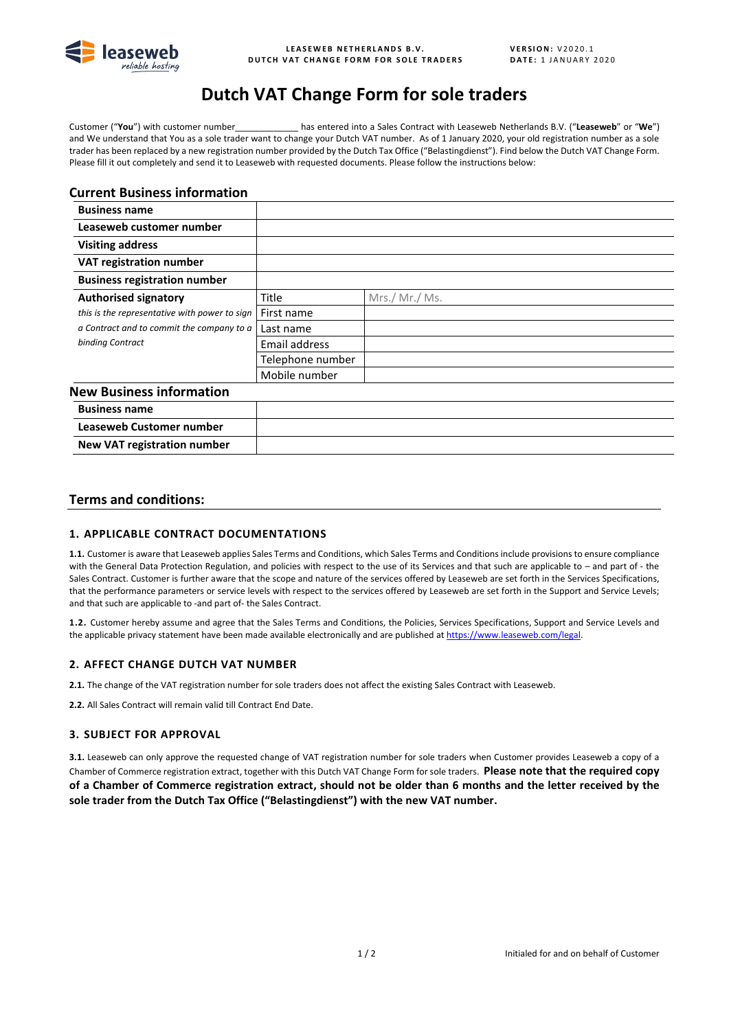

# **Dutch VAT Change Form for sole traders**

Customer ("**You**") with customer number\_\_\_\_\_\_\_\_\_\_\_\_\_ has entered into a Sales Contract with Leaseweb Netherlands B.V. ("**Leaseweb**" or "**We**") and We understand that You as a sole trader want to change your Dutch VAT number. As of 1 January 2020, your old registration number as a sole trader has been replaced by a new registration number provided by the Dutch Tax Office ("Belastingdienst"). Find below the Dutch VAT Change Form. Please fill it out completely and send it to Leaseweb with requested documents. Please follow the instructions below:

## **Current Business information**

| <b>Business name</b>                          |                  |                |
|-----------------------------------------------|------------------|----------------|
| Leaseweb customer number                      |                  |                |
| <b>Visiting address</b>                       |                  |                |
| VAT registration number                       |                  |                |
| <b>Business registration number</b>           |                  |                |
| <b>Authorised signatory</b>                   | Title            | Mrs./ Mr./ Ms. |
| this is the representative with power to sign | First name       |                |
| a Contract and to commit the company to a     | Last name        |                |
| binding Contract                              | Email address    |                |
|                                               | Telephone number |                |
|                                               | Mobile number    |                |
| <b>New Business information</b>               |                  |                |
| <b>Business name</b>                          |                  |                |
| Leaseweb Customer number                      |                  |                |
| <b>New VAT registration number</b>            |                  |                |

## **Terms and conditions:**

## **1. APPLICABLE CONTRACT DOCUMENTATIONS**

**1.1.** Customer is aware that Leaseweb applies Sales Terms and Conditions, which Sales Terms and Conditionsinclude provisions to ensure compliance with the General Data Protection Regulation, and policies with respect to the use of its Services and that such are applicable to – and part of - the Sales Contract. Customer is further aware that the scope and nature of the services offered by Leaseweb are set forth in the Services Specifications, that the performance parameters or service levels with respect to the services offered by Leaseweb are set forth in the Support and Service Levels; and that such are applicable to -and part of- the Sales Contract.

**1.2.** Customer hereby assume and agree that the Sales Terms and Conditions, the Policies, Services Specifications, Support and Service Levels and the applicable privacy statement have been made available electronically and are published at [https://www.leaseweb.com/legal.](https://www.leaseweb.com/legal)

## **2. AFFECT CHANGE DUTCH VAT NUMBER**

**2.1.** The change of the VAT registration number for sole traders does not affect the existing Sales Contract with Leaseweb.

**2.2.** All Sales Contract will remain valid till Contract End Date.

#### **3. SUBJECT FOR APPROVAL**

**3.1.** Leaseweb can only approve the requested change of VAT registration number for sole traders when Customer provides Leaseweb a copy of a Chamber of Commerce registration extract, together with this Dutch VAT Change Form for sole traders. **Please note that the required copy of a Chamber of Commerce registration extract, should not be older than 6 months and the letter received by the sole trader from the Dutch Tax Office ("Belastingdienst") with the new VAT number.**